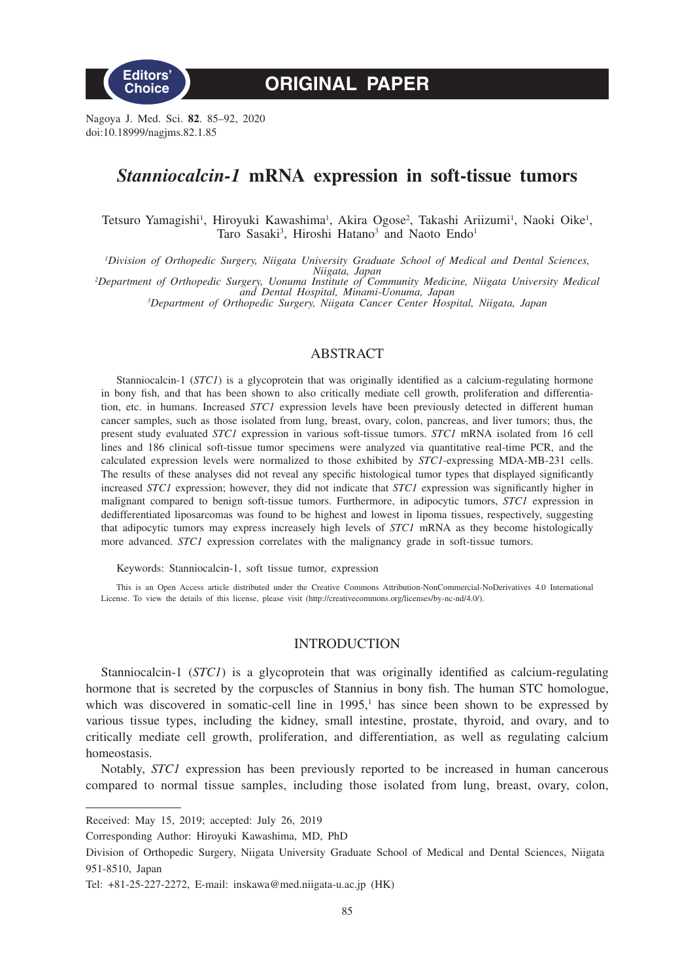

**ORIGINAL PAPER**

Nagoya J. Med. Sci. **82**. 85–92, 2020 doi:10.18999/nagjms.82.1.85

# *Stanniocalcin-1* **mRNA expression in soft-tissue tumors**

Tetsuro Yamagishi<sup>1</sup>, Hiroyuki Kawashima<sup>1</sup>, Akira Ogose<sup>2</sup>, Takashi Ariizumi<sup>1</sup>, Naoki Oike<sup>1</sup>, Taro Sasaki<sup>3</sup>, Hiroshi Hatano<sup>3</sup> and Naoto Endo<sup>1</sup>

*1 Division of Orthopedic Surgery, Niigata University Graduate School of Medical and Dental Sciences, Niigata, Japan <sup>2</sup> Department of Orthopedic Surgery, Uonuma Institute of Community Medicine, Niigata University Medical and Dental Hospital, Minami-Uonuma, Japan <sup>3</sup> Department of Orthopedic Surgery, Niigata Cancer Center Hospital, Niigata, Japan*

# ABSTRACT

Stanniocalcin-1 (*STC1*) is a glycoprotein that was originally identified as a calcium-regulating hormone in bony fish, and that has been shown to also critically mediate cell growth, proliferation and differentiation, etc. in humans. Increased *STC1* expression levels have been previously detected in different human cancer samples, such as those isolated from lung, breast, ovary, colon, pancreas, and liver tumors; thus, the present study evaluated *STC1* expression in various soft-tissue tumors. *STC1* mRNA isolated from 16 cell lines and 186 clinical soft-tissue tumor specimens were analyzed via quantitative real-time PCR, and the calculated expression levels were normalized to those exhibited by *STC1*-expressing MDA-MB-231 cells. The results of these analyses did not reveal any specific histological tumor types that displayed significantly increased *STC1* expression; however, they did not indicate that *STC1* expression was significantly higher in malignant compared to benign soft-tissue tumors. Furthermore, in adipocytic tumors, *STC1* expression in dedifferentiated liposarcomas was found to be highest and lowest in lipoma tissues, respectively, suggesting that adipocytic tumors may express increasely high levels of *STC1* mRNA as they become histologically more advanced. *STC1* expression correlates with the malignancy grade in soft-tissue tumors.

Keywords: Stanniocalcin-1, soft tissue tumor, expression

This is an Open Access article distributed under the Creative Commons Attribution-NonCommercial-NoDerivatives 4.0 International License. To view the details of this license, please visit (http://creativecommons.org/licenses/by-nc-nd/4.0/).

## INTRODUCTION

Stanniocalcin-1 (*STC1*) is a glycoprotein that was originally identified as calcium-regulating hormone that is secreted by the corpuscles of Stannius in bony fish. The human STC homologue, which was discovered in somatic-cell line in  $1995$ ,<sup>1</sup> has since been shown to be expressed by various tissue types, including the kidney, small intestine, prostate, thyroid, and ovary, and to critically mediate cell growth, proliferation, and differentiation, as well as regulating calcium homeostasis.

Notably, *STC1* expression has been previously reported to be increased in human cancerous compared to normal tissue samples, including those isolated from lung, breast, ovary, colon,

Received: May 15, 2019; accepted: July 26, 2019

Corresponding Author: Hiroyuki Kawashima, MD, PhD

Division of Orthopedic Surgery, Niigata University Graduate School of Medical and Dental Sciences, Niigata 951-8510, Japan

Tel: +81-25-227-2272, E-mail: inskawa@med.niigata-u.ac.jp (HK)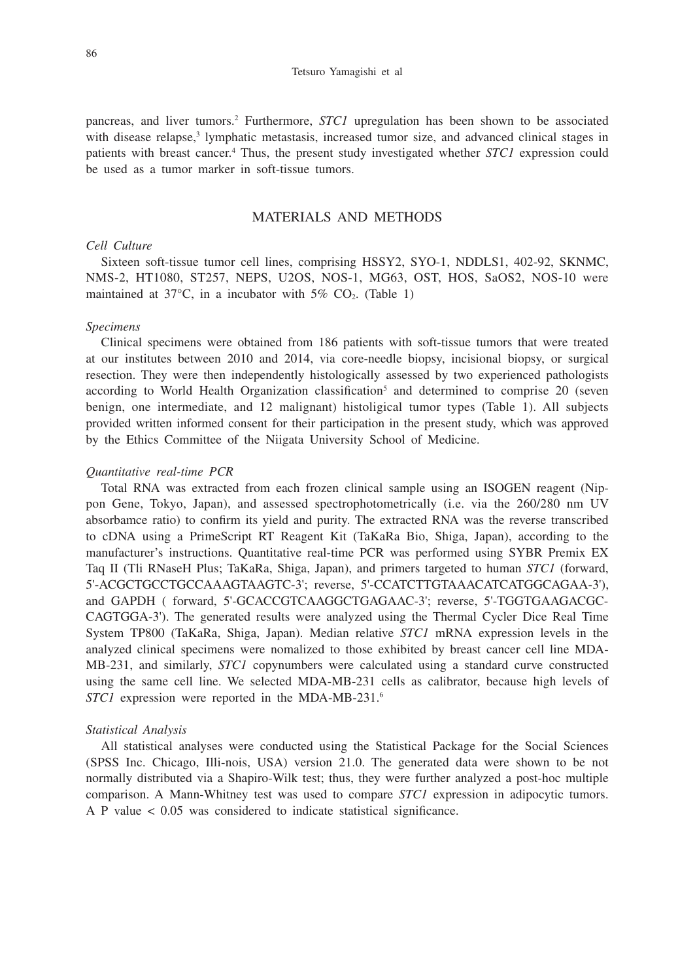pancreas, and liver tumors.<sup>2</sup> Furthermore, *STC1* upregulation has been shown to be associated with disease relapse,<sup>3</sup> lymphatic metastasis, increased tumor size, and advanced clinical stages in patients with breast cancer.<sup>4</sup> Thus, the present study investigated whether *STC1* expression could be used as a tumor marker in soft-tissue tumors.

# MATERIALS AND METHODS

# *Cell Culture*

Sixteen soft-tissue tumor cell lines, comprising HSSY2, SYO-1, NDDLS1, 402-92, SKNMC, NMS-2, HT1080, ST257, NEPS, U2OS, NOS-1, MG63, OST, HOS, SaOS2, NOS-10 were maintained at  $37^{\circ}$ C, in a incubator with  $5\%$  CO<sub>2</sub>. (Table 1)

## *Specimens*

Clinical specimens were obtained from 186 patients with soft-tissue tumors that were treated at our institutes between 2010 and 2014, via core-needle biopsy, incisional biopsy, or surgical resection. They were then independently histologically assessed by two experienced pathologists according to World Health Organization classification<sup>5</sup> and determined to comprise 20 (seven benign, one intermediate, and 12 malignant) histoligical tumor types (Table 1). All subjects provided written informed consent for their participation in the present study, which was approved by the Ethics Committee of the Niigata University School of Medicine.

#### *Quantitative real-time PCR*

Total RNA was extracted from each frozen clinical sample using an ISOGEN reagent (Nippon Gene, Tokyo, Japan), and assessed spectrophotometrically (i.e. via the 260/280 nm UV absorbamce ratio) to confirm its yield and purity. The extracted RNA was the reverse transcribed to cDNA using a PrimeScript RT Reagent Kit (TaKaRa Bio, Shiga, Japan), according to the manufacturer's instructions. Quantitative real-time PCR was performed using SYBR Premix EX Taq II (Tli RNaseH Plus; TaKaRa, Shiga, Japan), and primers targeted to human *STC1* (forward, 5'-ACGCTGCCTGCCAAAGTAAGTC-3'; reverse, 5'-CCATCTTGTAAACATCATGGCAGAA-3'), and GAPDH ( forward, 5'-GCACCGTCAAGGCTGAGAAC-3'; reverse, 5'-TGGTGAAGACGC-CAGTGGA-3'). The generated results were analyzed using the Thermal Cycler Dice Real Time System TP800 (TaKaRa, Shiga, Japan). Median relative *STC1* mRNA expression levels in the analyzed clinical specimens were nomalized to those exhibited by breast cancer cell line MDA-MB-231, and similarly, *STC1* copynumbers were calculated using a standard curve constructed using the same cell line. We selected MDA-MB-231 cells as calibrator, because high levels of *STC1* expression were reported in the MDA-MB-231.6

## *Statistical Analysis*

All statistical analyses were conducted using the Statistical Package for the Social Sciences (SPSS Inc. Chicago, Illi-nois, USA) version 21.0. The generated data were shown to be not normally distributed via a Shapiro-Wilk test; thus, they were further analyzed a post-hoc multiple comparison. A Mann-Whitney test was used to compare *STC1* expression in adipocytic tumors. A P value < 0.05 was considered to indicate statistical significance.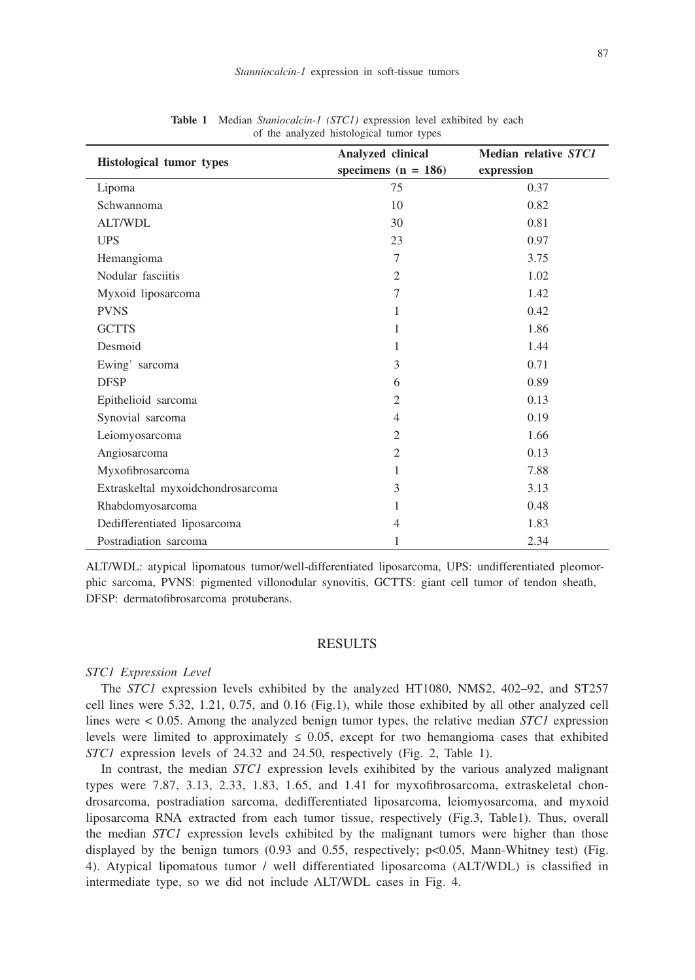| <b>Table 1</b> Integral Brandcatch-T (BTCT) expression fever exhibited by each<br>of the analyzed histological tumor types |                                            |                                    |
|----------------------------------------------------------------------------------------------------------------------------|--------------------------------------------|------------------------------------|
| <b>Histological tumor types</b>                                                                                            | Analyzed clinical<br>specimens $(n = 186)$ | Median relative STC1<br>expression |
| Lipoma                                                                                                                     | 75                                         | 0.37                               |
| Schwannoma                                                                                                                 | 10                                         | 0.82                               |
| <b>ALT/WDL</b>                                                                                                             | 30                                         | 0.81                               |
| <b>UPS</b>                                                                                                                 | 23                                         | 0.97                               |
| Hemangioma                                                                                                                 | 7                                          | 3.75                               |
| Nodular fasciitis                                                                                                          | 2                                          | 1.02                               |
| Myxoid liposarcoma                                                                                                         | 7                                          | 1.42                               |
| <b>PVNS</b>                                                                                                                | 1                                          | 0.42                               |
| <b>GCTTS</b>                                                                                                               | 1                                          | 1.86                               |
| Desmoid                                                                                                                    | 1                                          | 1.44                               |
| Ewing' sarcoma                                                                                                             | 3                                          | 0.71                               |
| <b>DFSP</b>                                                                                                                | 6                                          | 0.89                               |
| Epithelioid sarcoma                                                                                                        | 2                                          | 0.13                               |

**Table 1** Median *Staniocalcin-1 (STC1)* expression level exhibited by each

ALT/WDL: atypical lipomatous tumor/well-differentiated liposarcoma, UPS: undifferentiated pleomorphic sarcoma, PVNS: pigmented villonodular synovitis, GCTTS: giant cell tumor of tendon sheath, DFSP: dermatofibrosarcoma protuberans.

Synovial sarcoma and the synovial sarcoma and the synovial sarcoma and the synovial same of  $\sim 0.19$ Leiomyosarcoma 2 1.66 Angiosarcoma 2 0.13 Myxofibrosarcoma 1 7.88 Extraskeltal myxoidchondrosarcoma 3 3.13 Rhabdomyosarcoma 1 0.48 Dedifferentiated liposarcoma 4 1.83 Postradiation sarcoma 1 2.34

#### RESULTS

#### *STC1 Expression Level*

The *STC1* expression levels exhibited by the analyzed HT1080, NMS2, 402–92, and ST257 cell lines were 5.32, 1.21, 0.75, and 0.16 (Fig.1), while those exhibited by all other analyzed cell lines were < 0.05. Among the analyzed benign tumor types, the relative median *STC1* expression levels were limited to approximately  $\leq 0.05$ , except for two hemangioma cases that exhibited *STC1* expression levels of 24.32 and 24.50, respectively (Fig. 2, Table 1).

In contrast, the median *STC1* expression levels exihibited by the various analyzed malignant types were 7.87, 3.13, 2.33, 1.83, 1.65, and 1.41 for myxofibrosarcoma, extraskeletal chondrosarcoma, postradiation sarcoma, dedifferentiated liposarcoma, leiomyosarcoma, and myxoid liposarcoma RNA extracted from each tumor tissue, respectively (Fig.3, Table1). Thus, overall the median *STC1* expression levels exhibited by the malignant tumors were higher than those displayed by the benign tumors (0.93 and 0.55, respectively; p<0.05, Mann-Whitney test) (Fig. 4). Atypical lipomatous tumor / well differentiated liposarcoma (ALT/WDL) is classified in intermediate type, so we did not include ALT/WDL cases in Fig. 4.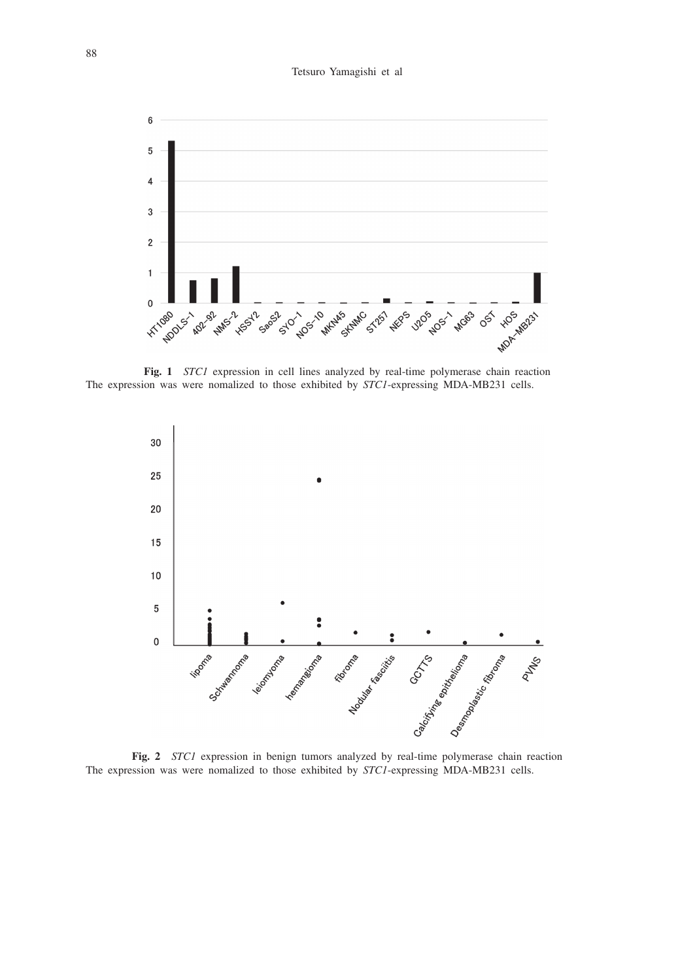

**Fig. 1** *STC1* expression in cell lines analyzed by real-time polymerase chain reaction The expression was were nomalized to those exhibited by *STC1*-expressing MDA-MB231 cells.



**Fig. 2** *STC1* expression in benign tumors analyzed by real-time polymerase chain reaction The expression was were nomalized to those exhibited by *STC1*-expressing MDA-MB231 cells.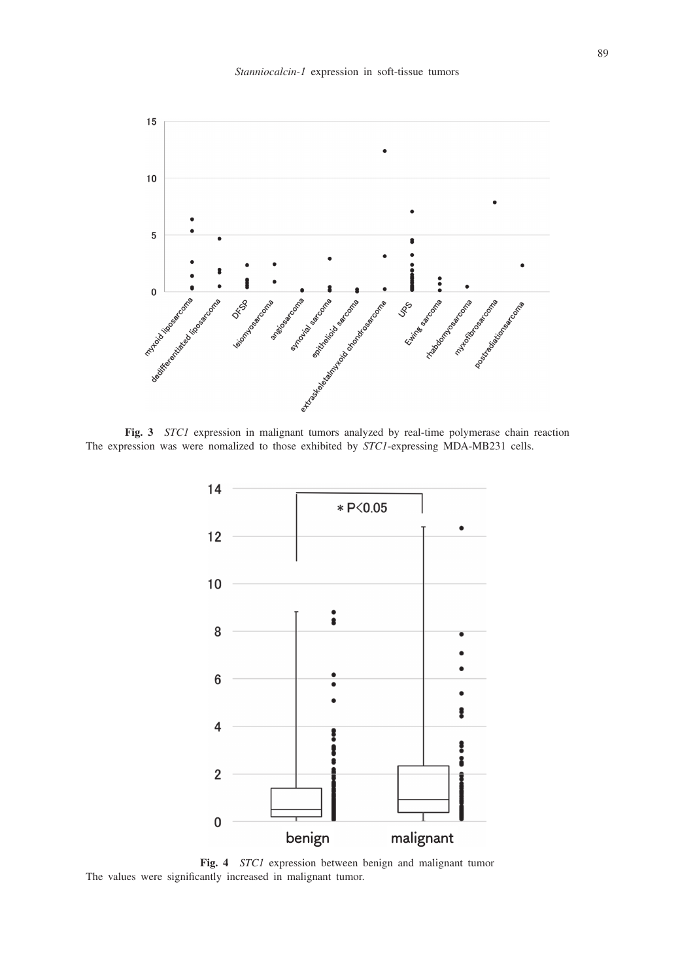

**Fig. 3** *STC1* expression in malignant tumors analyzed by real-time polymerase chain reaction The expression was were nomalized to those exhibited by *STC1*-expressing MDA-MB231 cells.



**Fig. 4** *STC1* expression between benign and malignant tumor The values were significantly increased in malignant tumor.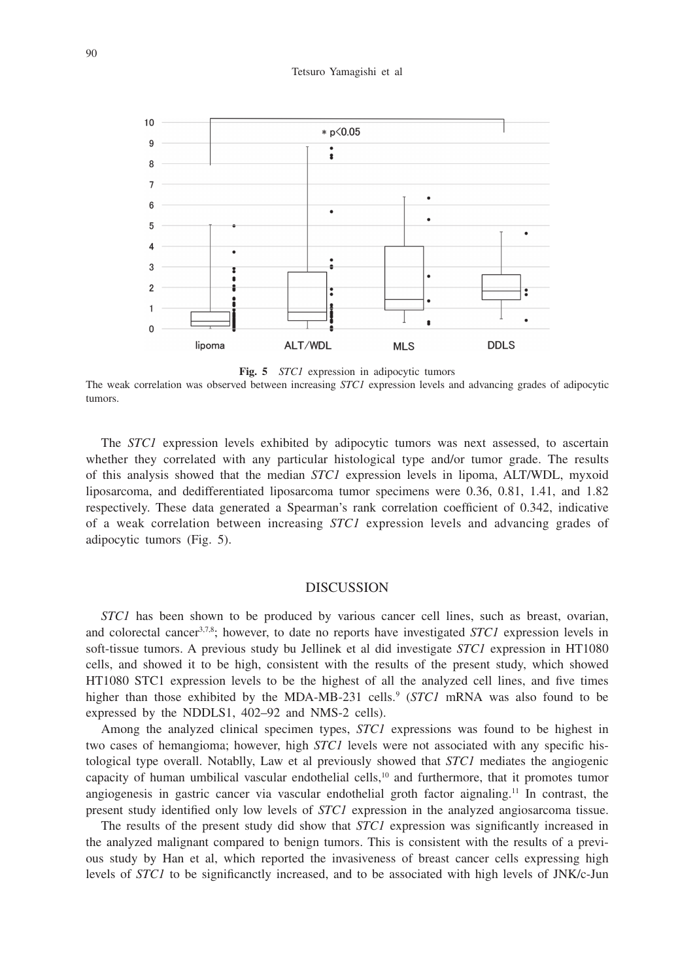#### Tetsuro Yamagishi et al



**Fig. 5** *STC1* expression in adipocytic tumors

The weak correlation was observed between increasing *STC1* expression levels and advancing grades of adipocytic tumors.

The *STC1* expression levels exhibited by adipocytic tumors was next assessed, to ascertain whether they correlated with any particular histological type and/or tumor grade. The results of this analysis showed that the median *STC1* expression levels in lipoma, ALT/WDL, myxoid liposarcoma, and dedifferentiated liposarcoma tumor specimens were 0.36, 0.81, 1.41, and 1.82 respectively. These data generated a Spearman's rank correlation coefficient of 0.342, indicative of a weak correlation between increasing *STC1* expression levels and advancing grades of adipocytic tumors (Fig. 5).

# DISCUSSION

*STC1* has been shown to be produced by various cancer cell lines, such as breast, ovarian, and colorectal cancer3,7,8; however, to date no reports have investigated *STC1* expression levels in soft-tissue tumors. A previous study bu Jellinek et al did investigate *STC1* expression in HT1080 cells, and showed it to be high, consistent with the results of the present study, which showed HT1080 STC1 expression levels to be the highest of all the analyzed cell lines, and five times higher than those exhibited by the MDA-MB-231 cells.<sup>9</sup> (*STC1* mRNA was also found to be expressed by the NDDLS1, 402–92 and NMS-2 cells).

Among the analyzed clinical specimen types, *STC1* expressions was found to be highest in two cases of hemangioma; however, high *STC1* levels were not associated with any specific histological type overall. Notablly, Law et al previously showed that *STC1* mediates the angiogenic capacity of human umbilical vascular endothelial cells, $10$  and furthermore, that it promotes tumor angiogenesis in gastric cancer via vascular endothelial groth factor aignaling.11 In contrast, the present study identified only low levels of *STC1* expression in the analyzed angiosarcoma tissue.

The results of the present study did show that *STC1* expression was significantly increased in the analyzed malignant compared to benign tumors. This is consistent with the results of a previous study by Han et al, which reported the invasiveness of breast cancer cells expressing high levels of *STC1* to be significanctly increased, and to be associated with high levels of JNK/c-Jun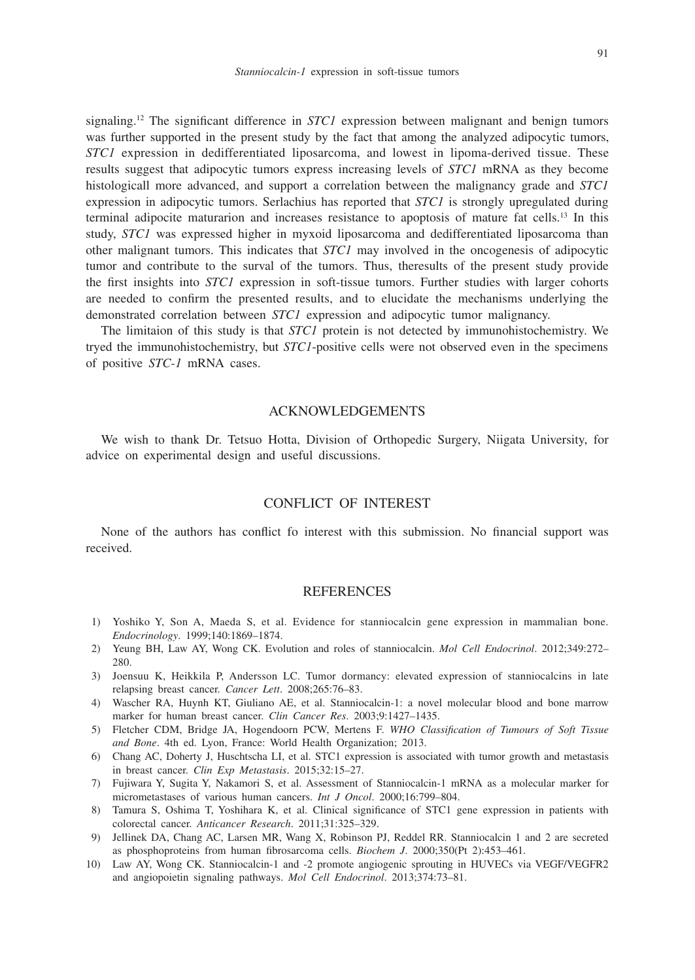signaling.12 The significant difference in *STC1* expression between malignant and benign tumors was further supported in the present study by the fact that among the analyzed adipocytic tumors, *STC1* expression in dedifferentiated liposarcoma, and lowest in lipoma-derived tissue. These results suggest that adipocytic tumors express increasing levels of *STC1* mRNA as they become histologicall more advanced, and support a correlation between the malignancy grade and *STC1* expression in adipocytic tumors. Serlachius has reported that *STC1* is strongly upregulated during terminal adipocite maturarion and increases resistance to apoptosis of mature fat cells.13 In this study, *STC1* was expressed higher in myxoid liposarcoma and dedifferentiated liposarcoma than other malignant tumors. This indicates that *STC1* may involved in the oncogenesis of adipocytic tumor and contribute to the surval of the tumors. Thus, theresults of the present study provide

the first insights into *STC1* expression in soft-tissue tumors. Further studies with larger cohorts are needed to confirm the presented results, and to elucidate the mechanisms underlying the demonstrated correlation between *STC1* expression and adipocytic tumor malignancy.

The limitaion of this study is that *STC1* protein is not detected by immunohistochemistry. We tryed the immunohistochemistry, but *STC1*-positive cells were not observed even in the specimens of positive *STC-1* mRNA cases.

# ACKNOWLEDGEMENTS

We wish to thank Dr. Tetsuo Hotta, Division of Orthopedic Surgery, Niigata University, for advice on experimental design and useful discussions.

# CONFLICT OF INTEREST

None of the authors has conflict fo interest with this submission. No financial support was received.

# **REFERENCES**

- 1) Yoshiko Y, Son A, Maeda S, et al. Evidence for stanniocalcin gene expression in mammalian bone. *Endocrinology*. 1999;140:1869–1874.
- 2) Yeung BH, Law AY, Wong CK. Evolution and roles of stanniocalcin. *Mol Cell Endocrinol*. 2012;349:272– 280.
- 3) Joensuu K, Heikkila P, Andersson LC. Tumor dormancy: elevated expression of stanniocalcins in late relapsing breast cancer. *Cancer Lett*. 2008;265:76–83.
- 4) Wascher RA, Huynh KT, Giuliano AE, et al. Stanniocalcin-1: a novel molecular blood and bone marrow marker for human breast cancer. *Clin Cancer Res*. 2003;9:1427–1435.
- 5) Fletcher CDM, Bridge JA, Hogendoorn PCW, Mertens F. *WHO Classification of Tumours of Soft Tissue and Bone*. 4th ed. Lyon, France: World Health Organization; 2013.
- 6) Chang AC, Doherty J, Huschtscha LI, et al. STC1 expression is associated with tumor growth and metastasis in breast cancer. *Clin Exp Metastasis*. 2015;32:15–27.
- 7) Fujiwara Y, Sugita Y, Nakamori S, et al. Assessment of Stanniocalcin-1 mRNA as a molecular marker for micrometastases of various human cancers. *Int J Oncol*. 2000;16:799–804.
- 8) Tamura S, Oshima T, Yoshihara K, et al. Clinical significance of STC1 gene expression in patients with colorectal cancer. *Anticancer Research*. 2011;31:325–329.
- 9) Jellinek DA, Chang AC, Larsen MR, Wang X, Robinson PJ, Reddel RR. Stanniocalcin 1 and 2 are secreted as phosphoproteins from human fibrosarcoma cells. *Biochem J*. 2000;350(Pt 2):453–461.
- 10) Law AY, Wong CK. Stanniocalcin-1 and -2 promote angiogenic sprouting in HUVECs via VEGF/VEGFR2 and angiopoietin signaling pathways. *Mol Cell Endocrinol*. 2013;374:73–81.